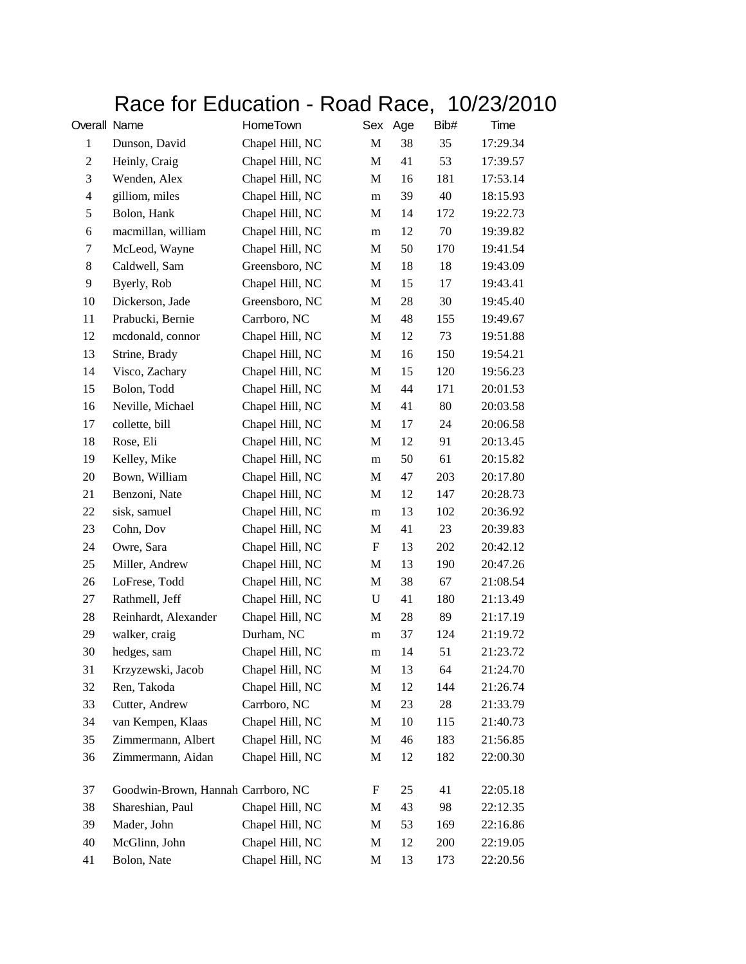## Race for Education - Road Race, 10/23/2010

| Overall Name   |                                    | HomeTown        |             | Sex Age | Bib# | Time     |
|----------------|------------------------------------|-----------------|-------------|---------|------|----------|
| $\mathbf{1}$   | Dunson, David                      | Chapel Hill, NC | M           | 38      | 35   | 17:29.34 |
| $\mathfrak{2}$ | Heinly, Craig                      | Chapel Hill, NC | M           | 41      | 53   | 17:39.57 |
| 3              | Wenden, Alex                       | Chapel Hill, NC | $\mathbf M$ | 16      | 181  | 17:53.14 |
| $\overline{4}$ | gilliom, miles                     | Chapel Hill, NC | m           | 39      | 40   | 18:15.93 |
| 5              | Bolon, Hank                        | Chapel Hill, NC | M           | 14      | 172  | 19:22.73 |
| 6              | macmillan, william                 | Chapel Hill, NC | m           | 12      | 70   | 19:39.82 |
| 7              | McLeod, Wayne                      | Chapel Hill, NC | M           | 50      | 170  | 19:41.54 |
| 8              | Caldwell, Sam                      | Greensboro, NC  | M           | 18      | 18   | 19:43.09 |
| 9              | Byerly, Rob                        | Chapel Hill, NC | M           | 15      | 17   | 19:43.41 |
| 10             | Dickerson, Jade                    | Greensboro, NC  | M           | 28      | 30   | 19:45.40 |
| 11             | Prabucki, Bernie                   | Carrboro, NC    | M           | 48      | 155  | 19:49.67 |
| 12             | mcdonald, connor                   | Chapel Hill, NC | M           | 12      | 73   | 19:51.88 |
| 13             | Strine, Brady                      | Chapel Hill, NC | M           | 16      | 150  | 19:54.21 |
| 14             | Visco, Zachary                     | Chapel Hill, NC | M           | 15      | 120  | 19:56.23 |
| 15             | Bolon, Todd                        | Chapel Hill, NC | M           | 44      | 171  | 20:01.53 |
| 16             | Neville, Michael                   | Chapel Hill, NC | M           | 41      | 80   | 20:03.58 |
| 17             | collette, bill                     | Chapel Hill, NC | M           | 17      | 24   | 20:06.58 |
| 18             | Rose, Eli                          | Chapel Hill, NC | M           | 12      | 91   | 20:13.45 |
| 19             | Kelley, Mike                       | Chapel Hill, NC | m           | 50      | 61   | 20:15.82 |
| 20             | Bown, William                      | Chapel Hill, NC | M           | 47      | 203  | 20:17.80 |
| 21             | Benzoni, Nate                      | Chapel Hill, NC | M           | 12      | 147  | 20:28.73 |
| 22             | sisk, samuel                       | Chapel Hill, NC | m           | 13      | 102  | 20:36.92 |
| 23             | Cohn, Dov                          | Chapel Hill, NC | M           | 41      | 23   | 20:39.83 |
| 24             | Owre, Sara                         | Chapel Hill, NC | F           | 13      | 202  | 20:42.12 |
| 25             | Miller, Andrew                     | Chapel Hill, NC | M           | 13      | 190  | 20:47.26 |
| 26             | LoFrese, Todd                      | Chapel Hill, NC | M           | 38      | 67   | 21:08.54 |
| 27             | Rathmell, Jeff                     | Chapel Hill, NC | U           | 41      | 180  | 21:13.49 |
| 28             | Reinhardt, Alexander               | Chapel Hill, NC | M           | 28      | 89   | 21:17.19 |
| 29             | walker, craig                      | Durham, NC      | m           | 37      | 124  | 21:19.72 |
| 30             | hedges, sam                        | Chapel Hill, NC | m           | 14      | 51   | 21:23.72 |
| 31             | Krzyzewski, Jacob                  | Chapel Hill, NC | M           | 13      | 64   | 21:24.70 |
| 32             | Ren, Takoda                        | Chapel Hill, NC | M           | 12      | 144  | 21:26.74 |
| 33             | Cutter, Andrew                     | Carrboro, NC    | M           | 23      | 28   | 21:33.79 |
| 34             | van Kempen, Klaas                  | Chapel Hill, NC | M           | 10      | 115  | 21:40.73 |
| 35             | Zimmermann, Albert                 | Chapel Hill, NC | M           | 46      | 183  | 21:56.85 |
| 36             | Zimmermann, Aidan                  | Chapel Hill, NC | M           | 12      | 182  | 22:00.30 |
| 37             | Goodwin-Brown, Hannah Carrboro, NC |                 | F           | 25      | 41   | 22:05.18 |
| 38             | Shareshian, Paul                   | Chapel Hill, NC | M           | 43      | 98   | 22:12.35 |
| 39             | Mader, John                        | Chapel Hill, NC | M           | 53      | 169  | 22:16.86 |
| 40             | McGlinn, John                      | Chapel Hill, NC | M           | 12      | 200  | 22:19.05 |
| 41             | Bolon, Nate                        | Chapel Hill, NC | M           | 13      | 173  | 22:20.56 |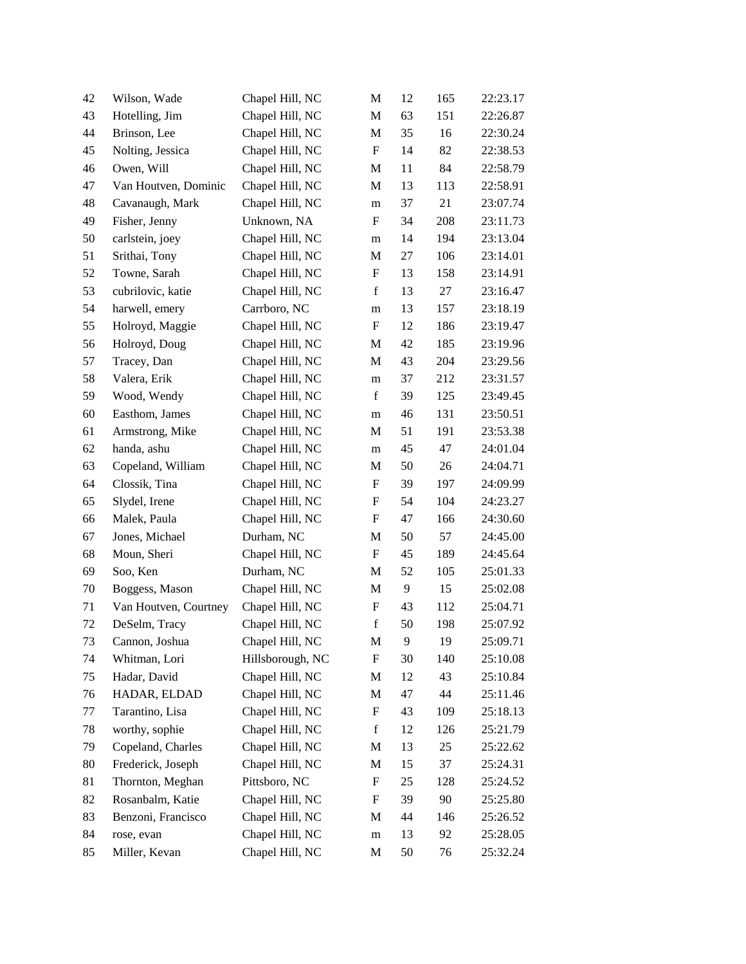| 42 | Wilson, Wade          | Chapel Hill, NC  | M                         | 12 | 165 | 22:23.17 |
|----|-----------------------|------------------|---------------------------|----|-----|----------|
| 43 | Hotelling, Jim        | Chapel Hill, NC  | M                         | 63 | 151 | 22:26.87 |
| 44 | Brinson, Lee          | Chapel Hill, NC  | M                         | 35 | 16  | 22:30.24 |
| 45 | Nolting, Jessica      | Chapel Hill, NC  | F                         | 14 | 82  | 22:38.53 |
| 46 | Owen, Will            | Chapel Hill, NC  | M                         | 11 | 84  | 22:58.79 |
| 47 | Van Houtven, Dominic  | Chapel Hill, NC  | M                         | 13 | 113 | 22:58.91 |
| 48 | Cavanaugh, Mark       | Chapel Hill, NC  | m                         | 37 | 21  | 23:07.74 |
| 49 | Fisher, Jenny         | Unknown, NA      | $\mathbf F$               | 34 | 208 | 23:11.73 |
| 50 | carlstein, joey       | Chapel Hill, NC  | m                         | 14 | 194 | 23:13.04 |
| 51 | Srithai, Tony         | Chapel Hill, NC  | M                         | 27 | 106 | 23:14.01 |
| 52 | Towne, Sarah          | Chapel Hill, NC  | ${\bf F}$                 | 13 | 158 | 23:14.91 |
| 53 | cubrilovic, katie     | Chapel Hill, NC  | $\mathbf f$               | 13 | 27  | 23:16.47 |
| 54 | harwell, emery        | Carrboro, NC     | m                         | 13 | 157 | 23:18.19 |
| 55 | Holroyd, Maggie       | Chapel Hill, NC  | F                         | 12 | 186 | 23:19.47 |
| 56 | Holroyd, Doug         | Chapel Hill, NC  | M                         | 42 | 185 | 23:19.96 |
| 57 | Tracey, Dan           | Chapel Hill, NC  | M                         | 43 | 204 | 23:29.56 |
| 58 | Valera, Erik          | Chapel Hill, NC  | m                         | 37 | 212 | 23:31.57 |
| 59 | Wood, Wendy           | Chapel Hill, NC  | $\mathbf f$               | 39 | 125 | 23:49.45 |
| 60 | Easthom, James        | Chapel Hill, NC  | m                         | 46 | 131 | 23:50.51 |
| 61 | Armstrong, Mike       | Chapel Hill, NC  | M                         | 51 | 191 | 23:53.38 |
| 62 | handa, ashu           | Chapel Hill, NC  | ${\rm m}$                 | 45 | 47  | 24:01.04 |
| 63 | Copeland, William     | Chapel Hill, NC  | M                         | 50 | 26  | 24:04.71 |
| 64 | Clossik, Tina         | Chapel Hill, NC  | $\boldsymbol{\mathrm{F}}$ | 39 | 197 | 24:09.99 |
| 65 | Slydel, Irene         | Chapel Hill, NC  | $\boldsymbol{\mathrm{F}}$ | 54 | 104 | 24:23.27 |
| 66 | Malek, Paula          | Chapel Hill, NC  | ${\bf F}$                 | 47 | 166 | 24:30.60 |
| 67 | Jones, Michael        | Durham, NC       | M                         | 50 | 57  | 24:45.00 |
| 68 | Moun, Sheri           | Chapel Hill, NC  | $\boldsymbol{\mathrm{F}}$ | 45 | 189 | 24:45.64 |
| 69 | Soo, Ken              | Durham, NC       | M                         | 52 | 105 | 25:01.33 |
| 70 | Boggess, Mason        | Chapel Hill, NC  | M                         | 9  | 15  | 25:02.08 |
| 71 | Van Houtven, Courtney | Chapel Hill, NC  | ${\bf F}$                 | 43 | 112 | 25:04.71 |
| 72 | DeSelm, Tracy         | Chapel Hill, NC  | $\mathbf f$               | 50 | 198 | 25:07.92 |
| 73 | Cannon, Joshua        | Chapel Hill, NC  | M                         | 9  | 19  | 25:09.71 |
| 74 | Whitman, Lori         | Hillsborough, NC | ${\rm F}$                 | 30 | 140 | 25:10.08 |
| 75 | Hadar, David          | Chapel Hill, NC  | M                         | 12 | 43  | 25:10.84 |
| 76 | HADAR, ELDAD          | Chapel Hill, NC  | M                         | 47 | 44  | 25:11.46 |
| 77 | Tarantino, Lisa       | Chapel Hill, NC  | ${\rm F}$                 | 43 | 109 | 25:18.13 |
| 78 | worthy, sophie        | Chapel Hill, NC  | $\mathbf f$               | 12 | 126 | 25:21.79 |
| 79 | Copeland, Charles     | Chapel Hill, NC  | M                         | 13 | 25  | 25:22.62 |
| 80 | Frederick, Joseph     | Chapel Hill, NC  | M                         | 15 | 37  | 25:24.31 |
| 81 | Thornton, Meghan      | Pittsboro, NC    | F                         | 25 | 128 | 25:24.52 |
| 82 | Rosanbalm, Katie      | Chapel Hill, NC  | ${\rm F}$                 | 39 | 90  | 25:25.80 |
| 83 | Benzoni, Francisco    | Chapel Hill, NC  | M                         | 44 | 146 | 25:26.52 |
| 84 | rose, evan            | Chapel Hill, NC  | m                         | 13 | 92  | 25:28.05 |
| 85 | Miller, Kevan         | Chapel Hill, NC  | M                         | 50 | 76  | 25:32.24 |
|    |                       |                  |                           |    |     |          |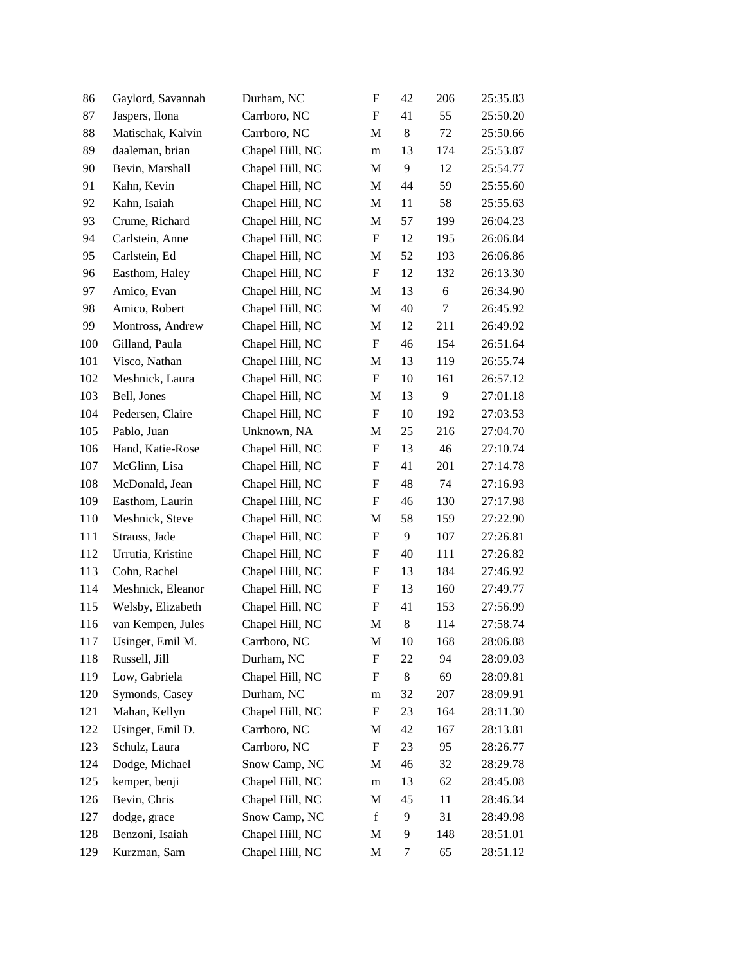| 86  | Gaylord, Savannah | Durham, NC      | $\boldsymbol{\mathrm{F}}$ | 42 | 206    | 25:35.83 |
|-----|-------------------|-----------------|---------------------------|----|--------|----------|
| 87  | Jaspers, Ilona    | Carrboro, NC    | $\boldsymbol{\mathrm{F}}$ | 41 | 55     | 25:50.20 |
| 88  | Matischak, Kalvin | Carrboro, NC    | M                         | 8  | 72     | 25:50.66 |
| 89  | daaleman, brian   | Chapel Hill, NC | m                         | 13 | 174    | 25:53.87 |
| 90  | Bevin, Marshall   | Chapel Hill, NC | M                         | 9  | 12     | 25:54.77 |
| 91  | Kahn, Kevin       | Chapel Hill, NC | M                         | 44 | 59     | 25:55.60 |
| 92  | Kahn, Isaiah      | Chapel Hill, NC | M                         | 11 | 58     | 25:55.63 |
| 93  | Crume, Richard    | Chapel Hill, NC | $\mathbf M$               | 57 | 199    | 26:04.23 |
| 94  | Carlstein, Anne   | Chapel Hill, NC | $\boldsymbol{\mathrm{F}}$ | 12 | 195    | 26:06.84 |
| 95  | Carlstein, Ed     | Chapel Hill, NC | M                         | 52 | 193    | 26:06.86 |
| 96  | Easthom, Haley    | Chapel Hill, NC | $\mathbf F$               | 12 | 132    | 26:13.30 |
| 97  | Amico, Evan       | Chapel Hill, NC | M                         | 13 | 6      | 26:34.90 |
| 98  | Amico, Robert     | Chapel Hill, NC | M                         | 40 | $\tau$ | 26:45.92 |
| 99  | Montross, Andrew  | Chapel Hill, NC | M                         | 12 | 211    | 26:49.92 |
| 100 | Gilland, Paula    | Chapel Hill, NC | F                         | 46 | 154    | 26:51.64 |
| 101 | Visco, Nathan     | Chapel Hill, NC | M                         | 13 | 119    | 26:55.74 |
| 102 | Meshnick, Laura   | Chapel Hill, NC | $\boldsymbol{\mathrm{F}}$ | 10 | 161    | 26:57.12 |
| 103 | Bell, Jones       | Chapel Hill, NC | M                         | 13 | 9      | 27:01.18 |
| 104 | Pedersen, Claire  | Chapel Hill, NC | F                         | 10 | 192    | 27:03.53 |
| 105 | Pablo, Juan       | Unknown, NA     | M                         | 25 | 216    | 27:04.70 |
| 106 | Hand, Katie-Rose  | Chapel Hill, NC | $\boldsymbol{\mathrm{F}}$ | 13 | 46     | 27:10.74 |
| 107 | McGlinn, Lisa     | Chapel Hill, NC | F                         | 41 | 201    | 27:14.78 |
| 108 | McDonald, Jean    | Chapel Hill, NC | ${\rm F}$                 | 48 | 74     | 27:16.93 |
| 109 | Easthom, Laurin   | Chapel Hill, NC | F                         | 46 | 130    | 27:17.98 |
| 110 | Meshnick, Steve   | Chapel Hill, NC | M                         | 58 | 159    | 27:22.90 |
| 111 | Strauss, Jade     | Chapel Hill, NC | $\boldsymbol{\mathrm{F}}$ | 9  | 107    | 27:26.81 |
| 112 | Urrutia, Kristine | Chapel Hill, NC | F                         | 40 | 111    | 27:26.82 |
| 113 | Cohn, Rachel      | Chapel Hill, NC | ${\rm F}$                 | 13 | 184    | 27:46.92 |
| 114 | Meshnick, Eleanor | Chapel Hill, NC | $\boldsymbol{\mathrm{F}}$ | 13 | 160    | 27:49.77 |
| 115 | Welsby, Elizabeth | Chapel Hill, NC | F                         | 41 | 153    | 27:56.99 |
| 116 | van Kempen, Jules | Chapel Hill, NC | M                         | 8  | 114    | 27:58.74 |
| 117 | Usinger, Emil M.  | Carrboro, NC    | M                         | 10 | 168    | 28:06.88 |
| 118 | Russell, Jill     | Durham, NC      | ${\bf F}$                 | 22 | 94     | 28:09.03 |
| 119 | Low, Gabriela     | Chapel Hill, NC | F                         | 8  | 69     | 28:09.81 |
| 120 | Symonds, Casey    | Durham, NC      | m                         | 32 | 207    | 28:09.91 |
| 121 | Mahan, Kellyn     | Chapel Hill, NC | ${\bf F}$                 | 23 | 164    | 28:11.30 |
| 122 | Usinger, Emil D.  | Carrboro, NC    | M                         | 42 | 167    | 28:13.81 |
| 123 | Schulz, Laura     | Carrboro, NC    | ${\rm F}$                 | 23 | 95     | 28:26.77 |
| 124 | Dodge, Michael    | Snow Camp, NC   | M                         | 46 | 32     | 28:29.78 |
| 125 | kemper, benji     | Chapel Hill, NC | m                         | 13 | 62     | 28:45.08 |
| 126 | Bevin, Chris      | Chapel Hill, NC | M                         | 45 | 11     | 28:46.34 |
| 127 | dodge, grace      | Snow Camp, NC   | $\mathbf f$               | 9  | 31     | 28:49.98 |
| 128 | Benzoni, Isaiah   | Chapel Hill, NC | M                         | 9  | 148    | 28:51.01 |
| 129 | Kurzman, Sam      | Chapel Hill, NC | M                         | 7  | 65     | 28:51.12 |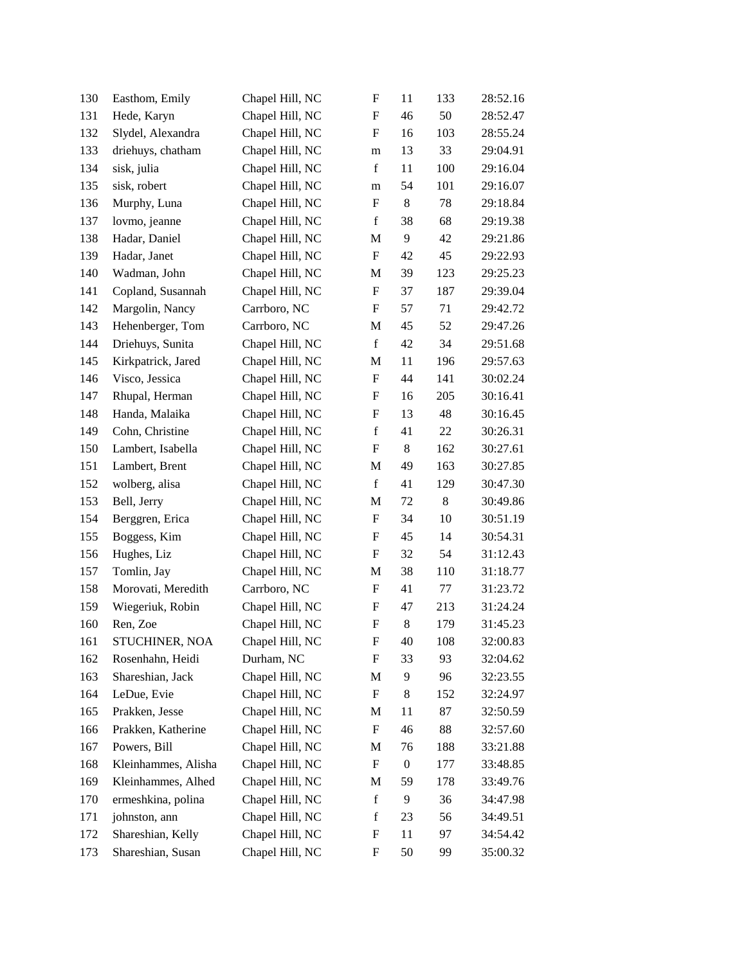| 130 | Easthom, Emily      | Chapel Hill, NC | $\boldsymbol{\mathrm{F}}$ | 11               | 133   | 28:52.16 |
|-----|---------------------|-----------------|---------------------------|------------------|-------|----------|
| 131 | Hede, Karyn         | Chapel Hill, NC | $\boldsymbol{\mathrm{F}}$ | 46               | 50    | 28:52.47 |
| 132 | Slydel, Alexandra   | Chapel Hill, NC | $\boldsymbol{\mathrm{F}}$ | 16               | 103   | 28:55.24 |
| 133 | driehuys, chatham   | Chapel Hill, NC | m                         | 13               | 33    | 29:04.91 |
| 134 | sisk, julia         | Chapel Hill, NC | $\mathbf f$               | 11               | 100   | 29:16.04 |
| 135 | sisk, robert        | Chapel Hill, NC | m                         | 54               | 101   | 29:16.07 |
| 136 | Murphy, Luna        | Chapel Hill, NC | $\boldsymbol{\mathrm{F}}$ | 8                | 78    | 29:18.84 |
| 137 | lovmo, jeanne       | Chapel Hill, NC | $\mathbf f$               | 38               | 68    | 29:19.38 |
| 138 | Hadar, Daniel       | Chapel Hill, NC | M                         | 9                | 42    | 29:21.86 |
| 139 | Hadar, Janet        | Chapel Hill, NC | $\boldsymbol{\mathrm{F}}$ | 42               | 45    | 29:22.93 |
| 140 | Wadman, John        | Chapel Hill, NC | M                         | 39               | 123   | 29:25.23 |
| 141 | Copland, Susannah   | Chapel Hill, NC | F                         | 37               | 187   | 29:39.04 |
| 142 | Margolin, Nancy     | Carrboro, NC    | $\boldsymbol{\mathrm{F}}$ | 57               | 71    | 29:42.72 |
| 143 | Hehenberger, Tom    | Carrboro, NC    | M                         | 45               | 52    | 29:47.26 |
| 144 | Driehuys, Sunita    | Chapel Hill, NC | $\mathbf f$               | 42               | 34    | 29:51.68 |
| 145 | Kirkpatrick, Jared  | Chapel Hill, NC | M                         | 11               | 196   | 29:57.63 |
| 146 | Visco, Jessica      | Chapel Hill, NC | $\boldsymbol{\mathrm{F}}$ | 44               | 141   | 30:02.24 |
| 147 | Rhupal, Herman      | Chapel Hill, NC | $\boldsymbol{\mathrm{F}}$ | 16               | 205   | 30:16.41 |
| 148 | Handa, Malaika      | Chapel Hill, NC | $\boldsymbol{\mathrm{F}}$ | 13               | 48    | 30:16.45 |
| 149 | Cohn, Christine     | Chapel Hill, NC | $\mathbf f$               | 41               | 22    | 30:26.31 |
| 150 | Lambert, Isabella   | Chapel Hill, NC | $\boldsymbol{\mathrm{F}}$ | 8                | 162   | 30:27.61 |
| 151 | Lambert, Brent      | Chapel Hill, NC | M                         | 49               | 163   | 30:27.85 |
| 152 | wolberg, alisa      | Chapel Hill, NC | $\mathbf f$               | 41               | 129   | 30:47.30 |
| 153 | Bell, Jerry         | Chapel Hill, NC | M                         | 72               | $8\,$ | 30:49.86 |
| 154 | Berggren, Erica     | Chapel Hill, NC | $\boldsymbol{\mathrm{F}}$ | 34               | 10    | 30:51.19 |
| 155 | Boggess, Kim        | Chapel Hill, NC | $\boldsymbol{\mathrm{F}}$ | 45               | 14    | 30:54.31 |
| 156 | Hughes, Liz         | Chapel Hill, NC | F                         | 32               | 54    | 31:12.43 |
| 157 | Tomlin, Jay         | Chapel Hill, NC | M                         | 38               | 110   | 31:18.77 |
| 158 | Morovati, Meredith  | Carrboro, NC    | $\mathbf F$               | 41               | 77    | 31:23.72 |
| 159 | Wiegeriuk, Robin    | Chapel Hill, NC | $\boldsymbol{F}$          | 47               | 213   | 31:24.24 |
| 160 | Ren, Zoe            | Chapel Hill, NC | $\boldsymbol{\mathrm{F}}$ | $8\,$            | 179   | 31:45.23 |
| 161 | STUCHINER, NOA      | Chapel Hill, NC | F                         | 40               | 108   | 32:00.83 |
| 162 | Rosenhahn, Heidi    | Durham, NC      | $\boldsymbol{\mathrm{F}}$ | 33               | 93    | 32:04.62 |
| 163 | Shareshian, Jack    | Chapel Hill, NC | M                         | 9                | 96    | 32:23.55 |
| 164 | LeDue, Evie         | Chapel Hill, NC | $\boldsymbol{\mathrm{F}}$ | 8                | 152   | 32:24.97 |
| 165 | Prakken, Jesse      | Chapel Hill, NC | M                         | 11               | 87    | 32:50.59 |
| 166 | Prakken, Katherine  | Chapel Hill, NC | $\boldsymbol{F}$          | 46               | 88    | 32:57.60 |
| 167 | Powers, Bill        | Chapel Hill, NC | M                         | 76               | 188   | 33:21.88 |
| 168 | Kleinhammes, Alisha | Chapel Hill, NC | F                         | $\boldsymbol{0}$ | 177   | 33:48.85 |
| 169 | Kleinhammes, Alhed  | Chapel Hill, NC | M                         | 59               | 178   | 33:49.76 |
| 170 | ermeshkina, polina  | Chapel Hill, NC | $\mathbf f$               | 9                | 36    | 34:47.98 |
| 171 | johnston, ann       | Chapel Hill, NC | $\mathbf f$               | 23               | 56    | 34:49.51 |
| 172 | Shareshian, Kelly   | Chapel Hill, NC | $\boldsymbol{\mathrm{F}}$ | 11               | 97    | 34:54.42 |
| 173 | Shareshian, Susan   | Chapel Hill, NC | F                         | 50               | 99    | 35:00.32 |